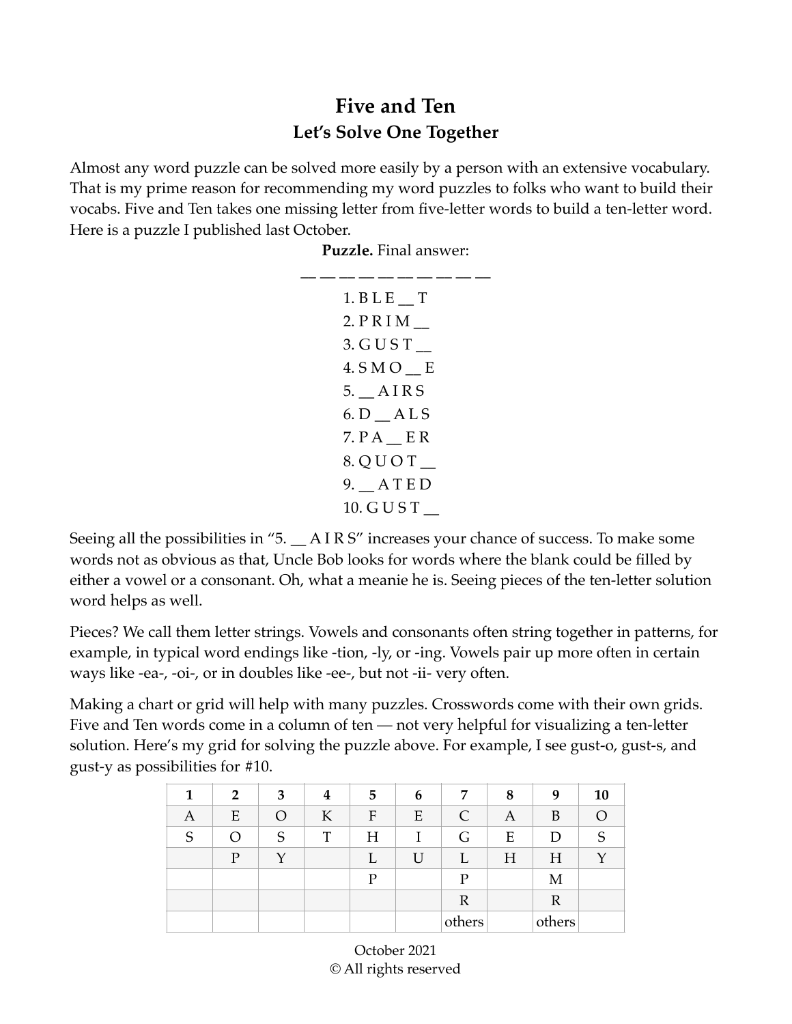## **Five and Ten Let's Solve One Together**

Almost any word puzzle can be solved more easily by a person with an extensive vocabulary. That is my prime reason for recommending my word puzzles to folks who want to build their vocabs. Five and Ten takes one missing letter from five-letter words to build a ten-letter word. Here is a puzzle I published last October.

**Puzzle.** Final answer:

| $1.$ B L E T |  |
|--------------|--|
| 2. P R I M   |  |
| 3. G U S T   |  |
| 4. SMO E     |  |
| 5. AIRS      |  |
| 6. D ALS     |  |
| $7. P A$ ER  |  |
| 8. Q U O T   |  |
| 9. ATED      |  |
| 10. G U S T  |  |

Seeing all the possibilities in "5.  $\_\_$  A I R S" increases your chance of success. To make some words not as obvious as that, Uncle Bob looks for words where the blank could be filled by either a vowel or a consonant. Oh, what a meanie he is. Seeing pieces of the ten-letter solution word helps as well.

Pieces? We call them letter strings. Vowels and consonants often string together in patterns, for example, in typical word endings like -tion, -ly, or -ing. Vowels pair up more often in certain ways like -ea-, -oi-, or in doubles like -ee-, but not -ii- very often.

Making a chart or grid will help with many puzzles. Crosswords come with their own grids. Five and Ten words come in a column of ten — not very helpful for visualizing a ten-letter solution. Here's my grid for solving the puzzle above. For example, I see gust-o, gust-s, and gust-y as possibilities for #10.

| 1 | $\overline{2}$ | 3 | 4 | 5 | 6  | 7              | 8 | 9            | 10       |
|---|----------------|---|---|---|----|----------------|---|--------------|----------|
| A | E              | O | K | F | E  | C              | A | B            | $\Omega$ |
| S | Ω              | S | T | H |    | G              | E | D            | S        |
|   | $\overline{P}$ |   |   |   | ΙI |                | H | H            |          |
|   |                |   |   | P |    | $\overline{P}$ |   | M            |          |
|   |                |   |   |   |    | $\mathbb R$    |   | $\mathbb{R}$ |          |
|   |                |   |   |   |    | others         |   | others       |          |

October 2021 © All rights reserved